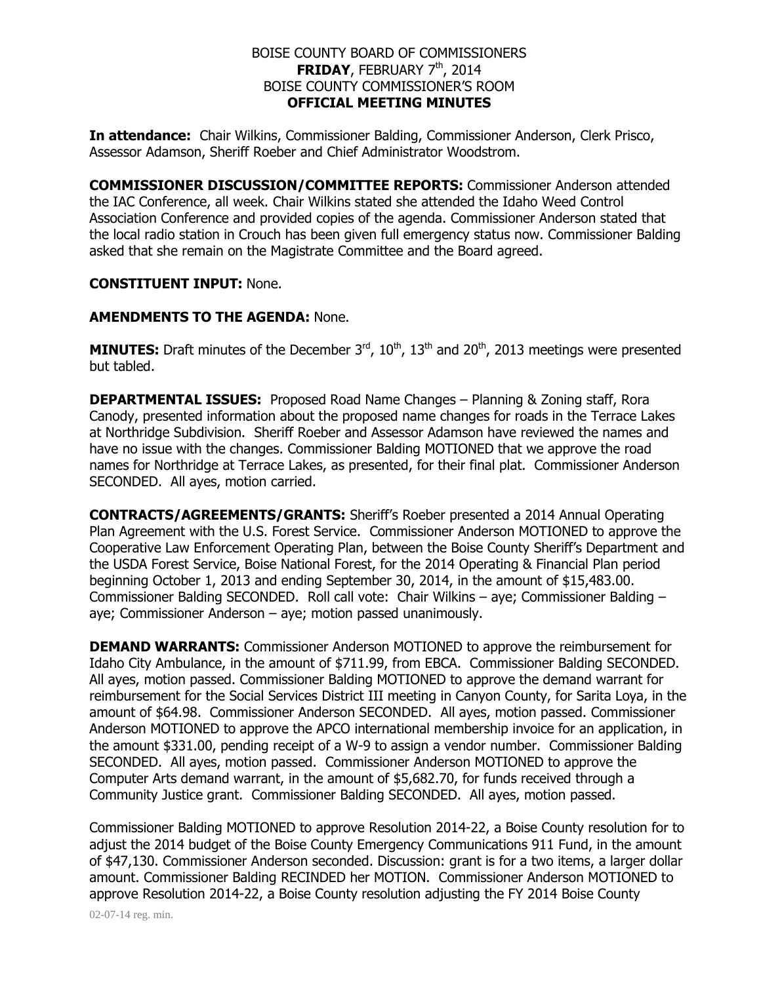## BOISE COUNTY BOARD OF COMMISSIONERS **FRIDAY**, FEBRUARY 7<sup>th</sup>, 2014 BOISE COUNTY COMMISSIONER'S ROOM **OFFICIAL MEETING MINUTES**

**In attendance:** Chair Wilkins, Commissioner Balding, Commissioner Anderson, Clerk Prisco, Assessor Adamson, Sheriff Roeber and Chief Administrator Woodstrom.

**COMMISSIONER DISCUSSION/COMMITTEE REPORTS:** Commissioner Anderson attended the IAC Conference, all week. Chair Wilkins stated she attended the Idaho Weed Control Association Conference and provided copies of the agenda. Commissioner Anderson stated that the local radio station in Crouch has been given full emergency status now. Commissioner Balding asked that she remain on the Magistrate Committee and the Board agreed.

## **CONSTITUENT INPUT:** None.

#### **AMENDMENTS TO THE AGENDA:** None.

**MINUTES:** Draft minutes of the December  $3<sup>rd</sup>$ ,  $10<sup>th</sup>$ ,  $13<sup>th</sup>$  and  $20<sup>th</sup>$ , 2013 meetings were presented but tabled.

**DEPARTMENTAL ISSUES:** Proposed Road Name Changes – Planning & Zoning staff, Rora Canody, presented information about the proposed name changes for roads in the Terrace Lakes at Northridge Subdivision. Sheriff Roeber and Assessor Adamson have reviewed the names and have no issue with the changes. Commissioner Balding MOTIONED that we approve the road names for Northridge at Terrace Lakes, as presented, for their final plat. Commissioner Anderson SECONDED. All ayes, motion carried.

**CONTRACTS/AGREEMENTS/GRANTS:** Sheriff's Roeber presented a 2014 Annual Operating Plan Agreement with the U.S. Forest Service. Commissioner Anderson MOTIONED to approve the Cooperative Law Enforcement Operating Plan, between the Boise County Sheriff's Department and the USDA Forest Service, Boise National Forest, for the 2014 Operating & Financial Plan period beginning October 1, 2013 and ending September 30, 2014, in the amount of \$15,483.00. Commissioner Balding SECONDED. Roll call vote: Chair Wilkins – aye; Commissioner Balding – aye; Commissioner Anderson – aye; motion passed unanimously.

**DEMAND WARRANTS:** Commissioner Anderson MOTIONED to approve the reimbursement for Idaho City Ambulance, in the amount of \$711.99, from EBCA. Commissioner Balding SECONDED. All ayes, motion passed. Commissioner Balding MOTIONED to approve the demand warrant for reimbursement for the Social Services District III meeting in Canyon County, for Sarita Loya, in the amount of \$64.98. Commissioner Anderson SECONDED. All ayes, motion passed. Commissioner Anderson MOTIONED to approve the APCO international membership invoice for an application, in the amount \$331.00, pending receipt of a W-9 to assign a vendor number. Commissioner Balding SECONDED. All ayes, motion passed. Commissioner Anderson MOTIONED to approve the Computer Arts demand warrant, in the amount of \$5,682.70, for funds received through a Community Justice grant. Commissioner Balding SECONDED. All ayes, motion passed.

Commissioner Balding MOTIONED to approve Resolution 2014-22, a Boise County resolution for to adjust the 2014 budget of the Boise County Emergency Communications 911 Fund, in the amount of \$47,130. Commissioner Anderson seconded. Discussion: grant is for a two items, a larger dollar amount. Commissioner Balding RECINDED her MOTION. Commissioner Anderson MOTIONED to approve Resolution 2014-22, a Boise County resolution adjusting the FY 2014 Boise County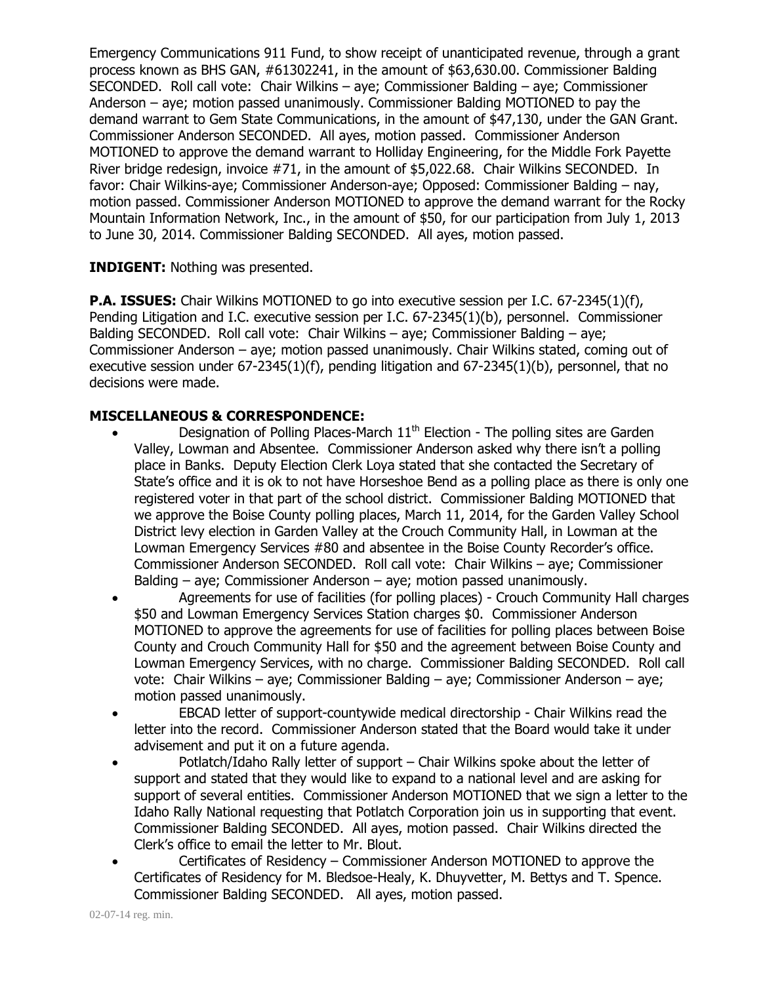Emergency Communications 911 Fund, to show receipt of unanticipated revenue, through a grant process known as BHS GAN, #61302241, in the amount of \$63,630.00. Commissioner Balding SECONDED. Roll call vote: Chair Wilkins – aye; Commissioner Balding – aye; Commissioner Anderson – aye; motion passed unanimously. Commissioner Balding MOTIONED to pay the demand warrant to Gem State Communications, in the amount of \$47,130, under the GAN Grant. Commissioner Anderson SECONDED. All ayes, motion passed. Commissioner Anderson MOTIONED to approve the demand warrant to Holliday Engineering, for the Middle Fork Payette River bridge redesign, invoice #71, in the amount of \$5,022.68. Chair Wilkins SECONDED. In favor: Chair Wilkins-aye; Commissioner Anderson-aye; Opposed: Commissioner Balding – nay, motion passed. Commissioner Anderson MOTIONED to approve the demand warrant for the Rocky Mountain Information Network, Inc., in the amount of \$50, for our participation from July 1, 2013 to June 30, 2014. Commissioner Balding SECONDED. All ayes, motion passed.

## **INDIGENT:** Nothing was presented.

**P.A. ISSUES:** Chair Wilkins MOTIONED to go into executive session per I.C. 67-2345(1)(f), Pending Litigation and I.C. executive session per I.C. 67-2345(1)(b), personnel. Commissioner Balding SECONDED. Roll call vote: Chair Wilkins – aye; Commissioner Balding – aye; Commissioner Anderson – aye; motion passed unanimously. Chair Wilkins stated, coming out of executive session under 67-2345(1)(f), pending litigation and 67-2345(1)(b), personnel, that no decisions were made.

# **MISCELLANEOUS & CORRESPONDENCE:**

- Designation of Polling Places-March 11<sup>th</sup> Election The polling sites are Garden Valley, Lowman and Absentee. Commissioner Anderson asked why there isn't a polling place in Banks. Deputy Election Clerk Loya stated that she contacted the Secretary of State's office and it is ok to not have Horseshoe Bend as a polling place as there is only one registered voter in that part of the school district. Commissioner Balding MOTIONED that we approve the Boise County polling places, March 11, 2014, for the Garden Valley School District levy election in Garden Valley at the Crouch Community Hall, in Lowman at the Lowman Emergency Services #80 and absentee in the Boise County Recorder's office. Commissioner Anderson SECONDED. Roll call vote: Chair Wilkins – aye; Commissioner Balding – aye; Commissioner Anderson – aye; motion passed unanimously.
- Agreements for use of facilities (for polling places) Crouch Community Hall charges \$50 and Lowman Emergency Services Station charges \$0. Commissioner Anderson MOTIONED to approve the agreements for use of facilities for polling places between Boise County and Crouch Community Hall for \$50 and the agreement between Boise County and Lowman Emergency Services, with no charge. Commissioner Balding SECONDED. Roll call vote: Chair Wilkins – aye; Commissioner Balding – aye; Commissioner Anderson – aye; motion passed unanimously.
- EBCAD letter of support-countywide medical directorship Chair Wilkins read the letter into the record. Commissioner Anderson stated that the Board would take it under advisement and put it on a future agenda.
- Potlatch/Idaho Rally letter of support Chair Wilkins spoke about the letter of support and stated that they would like to expand to a national level and are asking for support of several entities. Commissioner Anderson MOTIONED that we sign a letter to the Idaho Rally National requesting that Potlatch Corporation join us in supporting that event. Commissioner Balding SECONDED. All ayes, motion passed. Chair Wilkins directed the Clerk's office to email the letter to Mr. Blout.
- Certificates of Residency Commissioner Anderson MOTIONED to approve the Certificates of Residency for M. Bledsoe-Healy, K. Dhuyvetter, M. Bettys and T. Spence. Commissioner Balding SECONDED. All ayes, motion passed.